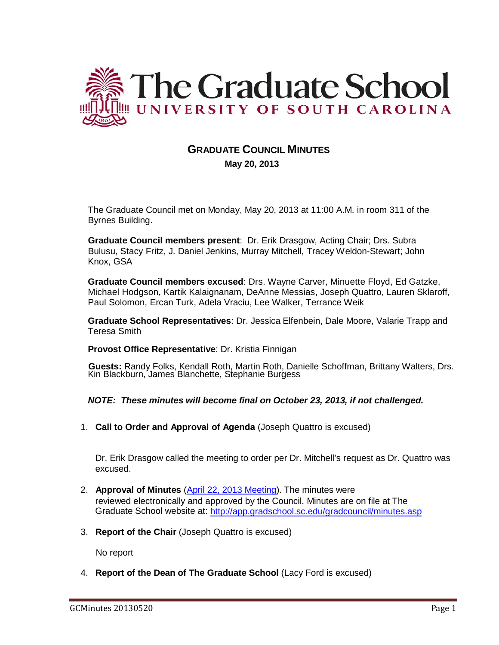

# **GRADUATE COUNCIL MINUTES**

 **May 20, 2013**

The Graduate Council met on Monday, May 20, 2013 at 11:00 A.M. in room 311 of the Byrnes Building.

**Graduate Council members present**: Dr. Erik Drasgow, Acting Chair; Drs. Subra Bulusu, Stacy Fritz, J. Daniel Jenkins, Murray Mitchell, Tracey Weldon-Stewart; John Knox, GSA

**Graduate Council members excused**: Drs. Wayne Carver, Minuette Floyd, Ed Gatzke, Michael Hodgson, Kartik Kalaignanam, DeAnne Messias, Joseph Quattro, Lauren Sklaroff, Paul Solomon, Ercan Turk, Adela Vraciu, Lee Walker, Terrance Weik

**Graduate School Representatives**: Dr. Jessica Elfenbein, Dale Moore, Valarie Trapp and Teresa Smith

### **Provost Office Representative**: Dr. Kristia Finnigan

**Guests:** Randy Folks, Kendall Roth, Martin Roth, Danielle Schoffman, Brittany Walters, Drs. Kin Blackburn, James Blanchette, Stephanie Burgess

*NOTE: These minutes will become final on October 23, 2013, if not challenged.*

1. **Call to Order and Approval of Agenda** (Joseph Quattro is excused)

Dr. Erik Drasgow called the meeting to order per Dr. Mitchell's request as Dr. Quattro was excused.

- 2. **Approval of Minutes** [\(April 22, 2013 Meeting\)](http://gradschool.sc.edu/facstaff/gradcouncil/2012/GCMinutes%204%2022%2013%20updated%2020130507.pdf). The minutes were reviewed electronically and approved by the Council. Minutes are on file at The Graduate School website at: <http://app.gradschool.sc.edu/gradcouncil/minutes.asp>
- 3. **Report of the Chair** (Joseph Quattro is excused)

No report

4. **Report of the Dean of The Graduate School** (Lacy Ford is excused)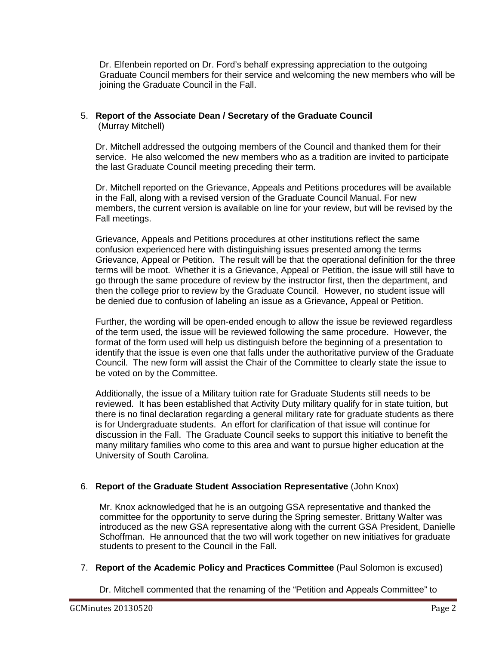Dr. Elfenbein reported on Dr. Ford's behalf expressing appreciation to the outgoing Graduate Council members for their service and welcoming the new members who will be joining the Graduate Council in the Fall.

#### 5. **Report of the Associate Dean / Secretary of the Graduate Council** (Murray Mitchell)

Dr. Mitchell addressed the outgoing members of the Council and thanked them for their service. He also welcomed the new members who as a tradition are invited to participate the last Graduate Council meeting preceding their term.

Dr. Mitchell reported on the Grievance, Appeals and Petitions procedures will be available in the Fall, along with a revised version of the Graduate Council Manual. For new members, the current version is available on line for your review, but will be revised by the Fall meetings.

Grievance, Appeals and Petitions procedures at other institutions reflect the same confusion experienced here with distinguishing issues presented among the terms Grievance, Appeal or Petition. The result will be that the operational definition for the three terms will be moot. Whether it is a Grievance, Appeal or Petition, the issue will still have to go through the same procedure of review by the instructor first, then the department, and then the college prior to review by the Graduate Council. However, no student issue will be denied due to confusion of labeling an issue as a Grievance, Appeal or Petition.

Further, the wording will be open-ended enough to allow the issue be reviewed regardless of the term used, the issue will be reviewed following the same procedure. However, the format of the form used will help us distinguish before the beginning of a presentation to identify that the issue is even one that falls under the authoritative purview of the Graduate Council. The new form will assist the Chair of the Committee to clearly state the issue to be voted on by the Committee.

Additionally, the issue of a Military tuition rate for Graduate Students still needs to be reviewed. It has been established that Activity Duty military qualify for in state tuition, but there is no final declaration regarding a general military rate for graduate students as there is for Undergraduate students. An effort for clarification of that issue will continue for discussion in the Fall. The Graduate Council seeks to support this initiative to benefit the many military families who come to this area and want to pursue higher education at the University of South Carolina.

# 6. **Report of the Graduate Student Association Representative** (John Knox)

Mr. Knox acknowledged that he is an outgoing GSA representative and thanked the committee for the opportunity to serve during the Spring semester. Brittany Walter was introduced as the new GSA representative along with the current GSA President, Danielle Schoffman. He announced that the two will work together on new initiatives for graduate students to present to the Council in the Fall.

# 7. **Report of the Academic Policy and Practices Committee** (Paul Solomon is excused)

Dr. Mitchell commented that the renaming of the "Petition and Appeals Committee" to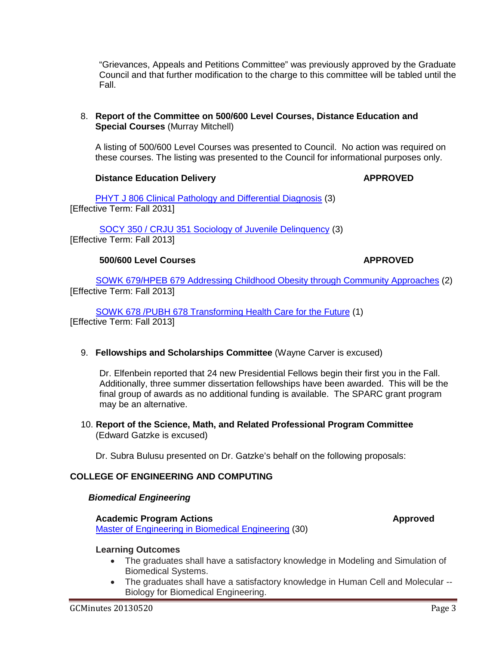"Grievances, Appeals and Petitions Committee" was previously approved by the Graduate Council and that further modification to the charge to this committee will be tabled until the Fall.

### 8. **Report of the Committee on 500/600 Level Courses, Distance Education and Special Courses** (Murray Mitchell)

A listing of 500/600 Level Courses was presented to Council. No action was required on these courses. The listing was presented to the Council for informational purposes only.

# **Distance Education Delivery <b>APPROVED**

[PHYT J 806 Clinical Pathology and Differential Diagnosis](http://gradschool.sc.edu/facstaff/gradcouncil/2012/PHYT%20J%20806%20Clinical%20Pathology%20and%20Differential%20Diagnosis%20DED_Redacted.pdf) (3) [Effective Term: Fall 2031]

[SOCY 350 / CRJU 351 Sociology of Juvenile Delinquency](http://gradschool.sc.edu/facstaff/gradcouncil/2012/SOCY%20350%20Sociology%20of%20Juvenile%20Delinquency%20DED.pdf) (3) [Effective Term: Fall 2013]

# **500/600 Level Courses APPROVED**

[SOWK 679/HPEB 679 Addressing Childhood Obesity through Community Approaches](http://gradschool.sc.edu/facstaff/gradcouncil/2012/SOWK%20679%20Addressing%20Childhood%20Obesity%20through%20Community%20Approaches%20NCP_Redacted.pdf) (2) [Effective Term: Fall 2013]

[SOWK 678 /PUBH 678 Transforming Health Care for the Future](http://gradschool.sc.edu/facstaff/gradcouncil/2012/SOWK%20678%20Transforming%20Health%20Care%20for%20the%20Future%20NCP.pdf) (1) [Effective Term: Fall 2013]

# 9. **Fellowships and Scholarships Committee** (Wayne Carver is excused)

Dr. Elfenbein reported that 24 new Presidential Fellows begin their first you in the Fall. Additionally, three summer dissertation fellowships have been awarded. This will be the final group of awards as no additional funding is available. The SPARC grant program may be an alternative.

### 10. **Report of the Science, Math, and Related Professional Program Committee** (Edward Gatzke is excused)

Dr. Subra Bulusu presented on Dr. Gatzke's behalf on the following proposals:

# **COLLEGE OF ENGINEERING AND COMPUTING**

### *Biomedical Engineering*

### **Academic Program Actions Approved**

[Master of Engineering in Biomedical Engineering](http://gradschool.sc.edu/facstaff/gradcouncil/2012/Master%20of%20Engineering%20in%20Biomedical%20Engineering%20APA%20BCH%20u20130508.pdf) (30)

# **Learning Outcomes**

- The graduates shall have a satisfactory knowledge in Modeling and Simulation of Biomedical Systems.
- The graduates shall have a satisfactory knowledge in Human Cell and Molecular -- Biology for Biomedical Engineering.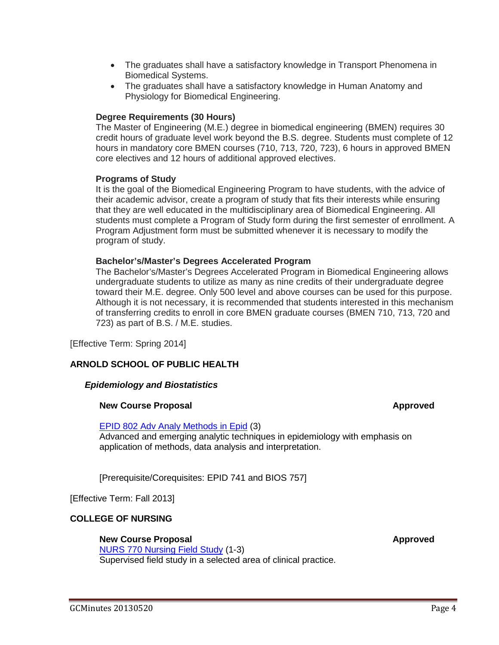- The graduates shall have a satisfactory knowledge in Transport Phenomena in Biomedical Systems.
- The graduates shall have a satisfactory knowledge in Human Anatomy and Physiology for Biomedical Engineering.

### **Degree Requirements (30 Hours)**

The Master of Engineering (M.E.) degree in biomedical engineering (BMEN) requires 30 credit hours of graduate level work beyond the B.S. degree. Students must complete of 12 hours in mandatory core BMEN courses (710, 713, 720, 723), 6 hours in approved BMEN core electives and 12 hours of additional approved electives.

### **Programs of Study**

It is the goal of the Biomedical Engineering Program to have students, with the advice of their academic advisor, create a program of study that fits their interests while ensuring that they are well educated in the multidisciplinary area of Biomedical Engineering. All students must complete a Program of Study form during the first semester of enrollment. A Program Adjustment form must be submitted whenever it is necessary to modify the program of study.

#### **Bachelor's/Master's Degrees Accelerated Program**

The Bachelor's/Master's Degrees Accelerated Program in Biomedical Engineering allows undergraduate students to utilize as many as nine credits of their undergraduate degree toward their M.E. degree. Only 500 level and above courses can be used for this purpose. Although it is not necessary, it is recommended that students interested in this mechanism of transferring credits to enroll in core BMEN graduate courses (BMEN 710, 713, 720 and 723) as part of B.S. / M.E. studies.

[Effective Term: Spring 2014]

### **ARNOLD SCHOOL OF PUBLIC HEALTH**

### *Epidemiology and Biostatistics*

### **New Course Proposal and Service Service Service Service Service Service Service Service Service Service Service Service Service Service Service Service Service Service Service Service Service Service Service Service Servi**

#### [EPID 802 Adv Analy](http://gradschool.sc.edu/facstaff/gradcouncil/2012/EPID%20802%20Advanced%20Analytical%20Methods%20in%20Epidemiology%20updated%20NCP%20JUS_Redacted.pdf) Methods in Epid (3)

Advanced and emerging analytic techniques in epidemiology with emphasis on application of methods, data analysis and interpretation.

[Prerequisite/Corequisites: EPID 741 and BIOS 757]

[Effective Term: Fall 2013]

### **COLLEGE OF NURSING**

### **New Course Proposal and Service Service Service Service Service Service Service Service Service Service Service Service Service Service Service Service Service Service Service Service Service Service Service Service Servi**

[NURS 770 Nursing Field Study](http://gradschool.sc.edu/facstaff/gradcouncil/2012/NURS%20770%20Nursing%20Field%20Study%20NCP.pdf) (1-3) Supervised field study in a selected area of clinical practice.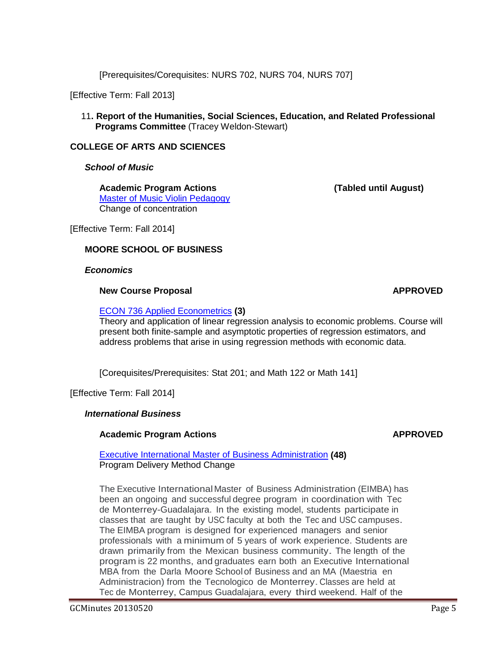[Prerequisites/Corequisites: NURS 702, NURS 704, NURS 707]

[Effective Term: Fall 2013]

11**. Report of the Humanities, Social Sciences, Education, and Related Professional Programs Committee** (Tracey Weldon-Stewart)

### **COLLEGE OF ARTS AND SCIENCES**

*School of Music*

**Academic Program Actions (Tabled until August)** [Master of Music Violin Pedagogy](http://gradschool.sc.edu/facstaff/gradcouncil/2012/Master%20of%20Music%20APA%20BCH%20JUS.pdf) Change of concentration

[Effective Term: Fall 2014]

### **MOORE SCHOOL OF BUSINESS**

*Economics*

#### **New Course Proposal <b>APPROVED**

[ECON 736 Applied Econometrics](http://gradschool.sc.edu/facstaff/gradcouncil/2012/ECON%20736%20Applied%20Econometrics%20NCP%20BCH%20updated20130506.pdf) **(3)**

Theory and application of linear regression analysis to economic problems. Course will present both finite-sample and asymptotic properties of regression estimators, and address problems that arise in using regression methods with economic data.

[Corequisites/Prerequisites: Stat 201; and Math 122 or Math 141]

[Effective Term: Fall 2014]

### *International Business*

### **Academic Program Actions APPROVED**

[Executive International Master of Business Administration](http://gradschool.sc.edu/facstaff/gradcouncil/2012/Executive%20International%20Master%20of%20Business%20Administration%20APA%20JUS.pdf) **(48)** Program Delivery Method Change

The Executive InternationalMaster of Business Administration (EIMBA) has been an ongoing and successful degree program in coordination with Tec de Monterrey-Guadalajara. In the existing model, students participate in classes that are taught by USC faculty at both the Tec and USC campuses. The EIMBA program is designed for experienced managers and senior professionals with a minimum of 5 years of work experience. Students are drawn primarily from the Mexican business community. The length of the program is 22 months, and graduates earn both an Executive International MBA from the Darla Moore Schoolof Business and an MA (Maestria en Administracion) from the Tecnologico de Monterrey.Classes are held at Tec de Monterrey, Campus Guadalajara, every third weekend. Half of the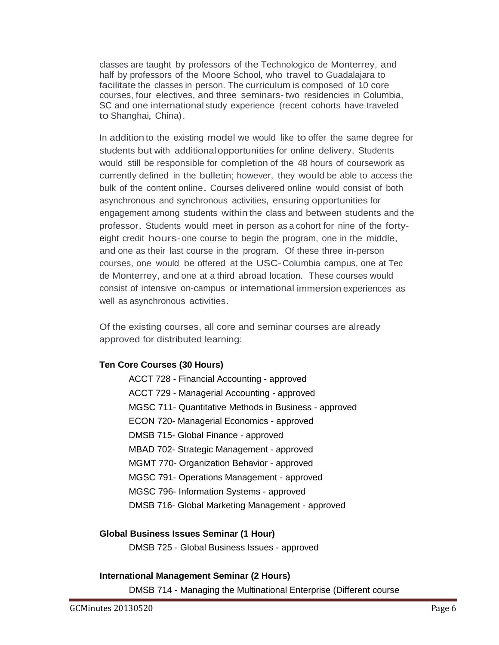classes are taught by professors of the Technologico de Monterrey, and half by professors of the Moore School, who travel to Guadalajara to facilitate the classes in person. The curriculum is composed of 10 core courses, four electives, and three seminars- two residencies in Columbia, SC and one international study experience (recent cohorts have traveled to Shanghai, China).

In addition to the existing model we would like to offer the same degree for students but with additionalopportunities for online delivery. Students would still be responsible for completion of the 48 hours of coursework as currently defined in the bulletin; however, they would be able to access the bulk of the content online. Courses delivered online would consist of both asynchronous and synchronous activities, ensuring opportunities for engagement among students within the class and between students and the professor. Students would meet in person as <sup>a</sup> cohort for nine of the fortyeight credit hours-one course to begin the program, one in the middle, and one as their last course in the program. Of these three in-person courses, one would be offered at the USC-Columbia campus, one at Tec de Monterrey, and one at a third abroad location. These courses would consist of intensive on-campus or international immersion experiences as well as asynchronous activities.

Of the existing courses, all core and seminar courses are already approved for distributed learning:

# **Ten Core Courses (30 Hours)**

ACCT 728 - Financial Accounting - approved ACCT 729 - Managerial Accounting - approved MGSC 711- Quantitative Methods in Business - approved ECON 720- Managerial Economics - approved DMSB 715- Global Finance - approved MBAD 702- Strategic Management - approved MGMT 770- Organization Behavior - approved MGSC 791- Operations Management - approved MGSC 796- Information Systems - approved DMSB 716- Global Marketing Management - approved

# **Global Business Issues Seminar (1 Hour)**

DMSB 725 - Global Business Issues - approved

# **International Management Seminar (2 Hours)**

DMSB 714 - Managing the Multinational Enterprise (Different course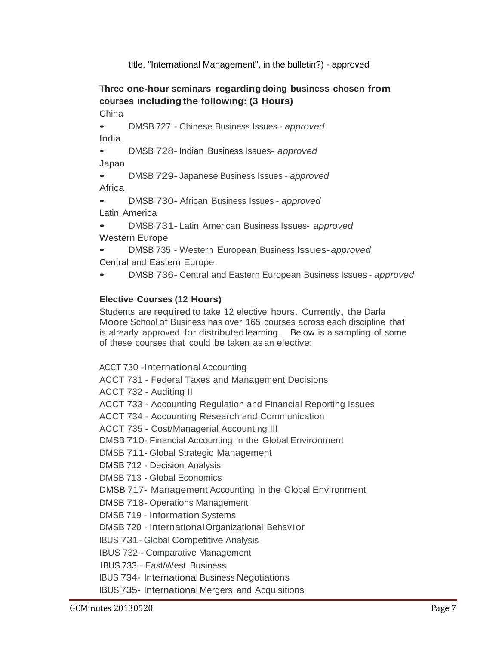title, "International Management", in the bulletin?) - approved

# **Three one-hour seminars regarding doing business chosen from courses includingthe following: (3 Hours)**

China

• DMSB <sup>727</sup> - Chinese Business Issues - *approved* India

• DMSB 728- Indian Business Issues- *approved* Japan

• DMSB 729- Japanese Business Issues - *approved* **Africa** 

• DMSB 730- African Business Issues - *approved* Latin America

• DMSB 731- Latin American Business Issues- *approved* Western Europe

• DMSB <sup>735</sup> - Western European Business Issues-*approved* Central and Eastern Europe

• DMSB 736- Central and Eastern European Business Issues - *approved*

# **Elective Courses (12 Hours)**

Students are required to take <sup>12</sup> elective hours. Currently, the Darla Moore School of Business has over 165 courses across each discipline that is already approved for distributed learning. Below is a sampling of some of these courses that could be taken as an elective:

ACCT 730 - International Accounting

ACCT 731 - Federal Taxes and Management Decisions

ACCT 732 - Auditing II

ACCT 733 - Accounting Regulation and Financial Reporting Issues

ACCT 734 - Accounting Research and Communication

ACCT 735 - Cost/Managerial Accounting III

DMSB 710- Financial Accounting in the Global Environment

DMSB 711- Global Strategic Management

DMSB 712 - Decision Analysis

DMSB 713 - Global Economics

DMSB 717- Management Accounting in the Global Environment

DMSB 718- Operations Management

DMSB 719 - Information Systems

DMSB <sup>720</sup> - InternationalOrganizational Behavior

IBUS 731- Global Competitive Analysis

IBUS 732 - Comparative Management

IBUS <sup>733</sup> - East/West Business

**IBUS 734- International Business Negotiations** 

IBUS 735- International Mergers and Acquisitions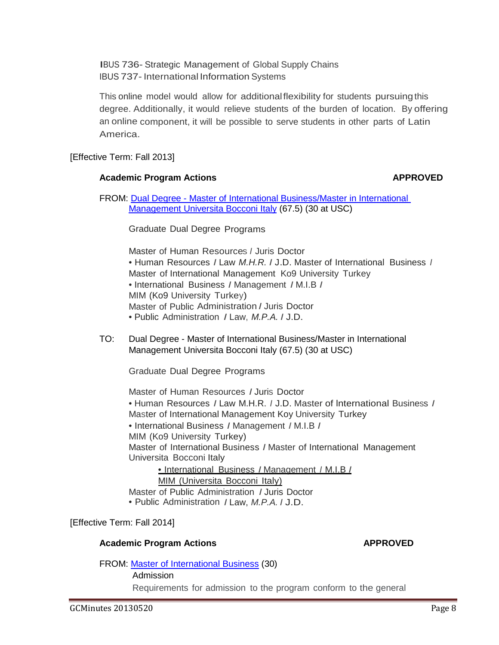IBUS 736- Strategic Management of Global Supply Chains IBUS 737- International Information Systems

This online model would allow for additionalflexibility for students pursuingthis degree. Additionally, it would relieve students of the burden of location. By offering an online component, it will be possible to serve students in other parts of Latin America.

[Effective Term: Fall 2013]

# Academic Program Actions **ACCONTENTS APPROVED**

FROM: Dual Degree - [Master of International Business/Master in International](http://gradschool.sc.edu/facstaff/gradcouncil/2012/MIB%20and%20MIB%20Internation%20Dual%20Degree%20APA%20BCH.pdf)  [Management Universita Bocconi Italy](http://gradschool.sc.edu/facstaff/gradcouncil/2012/MIB%20and%20MIB%20Internation%20Dual%20Degree%20APA%20BCH.pdf) (67.5) (30 at USC)

Graduate Dual Degree Programs

Master of Human Resources *I* Juris Doctor

• Human Resources *I* Law *M.H.R. I* J.D. Master of International Business *<sup>I</sup>* Master of International Management Ko9 University Turkey

• International Business *I* Management *I* M.I.B *I* MIM (Ko9 University Turkey)

- Master of Public Administration *I* Juris Doctor
- Public Administration *I* Law, *M.P.A. I* J.D.
- TO: Dual Degree Master of International Business/Master in International Management Universita Bocconi Italy (67.5) (30 at USC)

Graduate Dual Degree Programs

Master of Human Resources *I* Juris Doctor

• Human Resources *I* Law M.H.R. *I* J.D. Master of lnternational Business *I* Master of International Management Koy University Turkey

- International Business *I* Management *I* M.I.B *I*
- MIM (Ko9 University Turkey)

Master of International Business *I* Master of International Management Universita Bocconi Italy

• International Business *I* Management *I* M.I.B *I*

MIM (Universita Bocconi Italy)

Master of Public Administration *I* Juris Doctor

• Public Administration *I* Law, *M.P.A. I* J.D.

# [Effective Term: Fall 2014]

# **Academic Program Actions APPROVED**

Admission

FROM: [Master of International Business](http://gradschool.sc.edu/facstaff/gradcouncil/2012/Master%20of%20International%20Business%20APA%20BCH%20u.pdf) (30)

Requirements for admission to the program conform to the general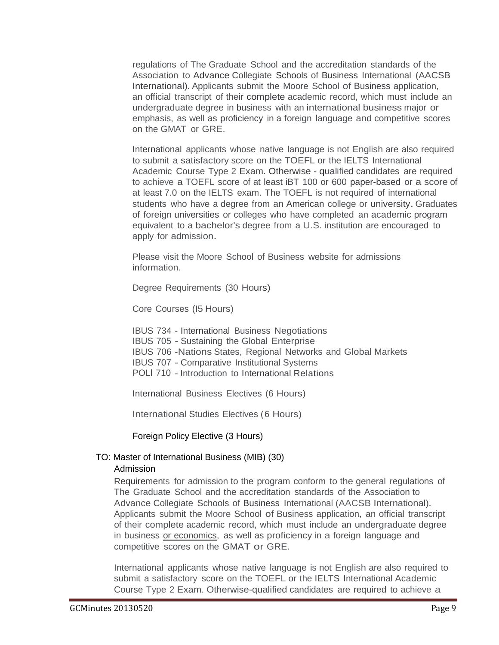regulations of The Graduate School and the accreditation standards of the Association to Advance Collegiate Schools of Business International (AACSB International). Applicants submit the Moore School of Business application, an official transcript of their complete academic record, which must include an undergraduate degree in business with an international business major or emphasis, as well as proficiency in a foreign language and competitive scores on the GMAT or GRE.

International applicants whose native language is not English are also required to submit a satisfactory score on the TOEFL or the IELTS International Academic Course Type 2 Exam. Otherwise - qualified candidates are required to achieve a TOEFL score of at least iBT 100 or 600 paper-based or a score of at least 7.0 on the IELTS exam. The TOEFL is not required of international students who have a degree from an American college or university. Graduates of foreign universities or colleges who have completed an academic program equivalent to a bachelor's degree from a U.S. institution are encouraged to apply for admission.

Please visit the Moore School of Business website for admissions information.

Degree Requirements (30 Hours)

Core Courses (I5 Hours)

IBUS 734 - International Business Negotiations IBUS 705 - Sustaining the Global Enterprise IBUS 706 -Nations States, Regional Networks and Global Markets IBUS 707 - Comparative Institutional Systems POLl 710 - Introduction to International Relations

International Business Electives (6 Hours)

International Studies Electives (6 Hours)

Foreign Policy Elective (3 Hours)

# TO: Master of International Business (MIB) (30)

### Admission

Requirements for admission to the program conform to the general regulations of The Graduate School and the accreditation standards of the Association to Advance Collegiate Schools of Business International (AACSB International). Applicants submit the Moore School of Business application, an official transcript of their complete academic record, which must include an undergraduate degree in business or economics, as well as proficiency in a foreign language and competitive scores on the GMAT or GRE.

International applicants whose native language is not English are also required to submit a satisfactory score on the TOEFL or the IELTS International Academic Course Type 2 Exam. Otherwise-qualified candidates are required to achieve a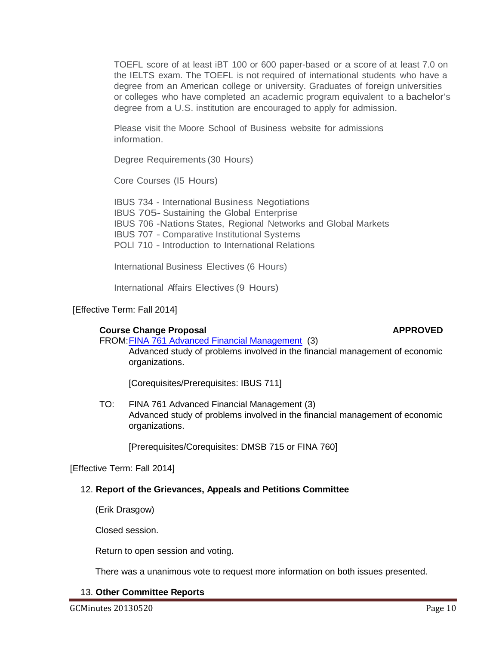TOEFL score of at least iBT 100 or 600 paper-based or a score of at least 7.0 on the IELTS exam. The TOEFL is not required of international students who have a degree from an American college or university. Graduates of foreign universities or colleges who have completed an academic program equivalent to a bachelor's degree from a U.S. institution are encouraged to apply for admission.

Please visit the Moore School of Business website for admissions information.

Degree Requirements (30 Hours)

Core Courses (I5 Hours)

IBUS 734 - International Business Negotiations IBUS 705- Sustaining the Global Enterprise IBUS 706 -Nations States, Regional Networks and Global Markets IBUS 707 - Comparative Institutional Systems POLl 710 - Introduction to International Relations

International Business Electives (6 Hours)

International Affairs Electives (9 Hours)

# [Effective Term: Fall 2014]

# **Course Change Proposal <b>APPROVED APPROVED**

FROM[:FINA 761 Advanced Financial Management](http://gradschool.sc.edu/facstaff/gradcouncil/2012/CCP%20FINA%20761%20Advanced%20Financial%20Management_Redacted.pdf) (3) Advanced study of problems involved in the financial management of economic organizations.

[Corequisites/Prerequisites: IBUS 711]

TO: FINA 761 Advanced Financial Management (3) Advanced study of problems involved in the financial management of economic organizations.

[Prerequisites/Corequisites: DMSB 715 or FINA 760]

[Effective Term: Fall 2014]

# 12. **Report of the Grievances, Appeals and Petitions Committee**

(Erik Drasgow)

Closed session.

Return to open session and voting.

There was a unanimous vote to request more information on both issues presented.

# 13. **Other Committee Reports**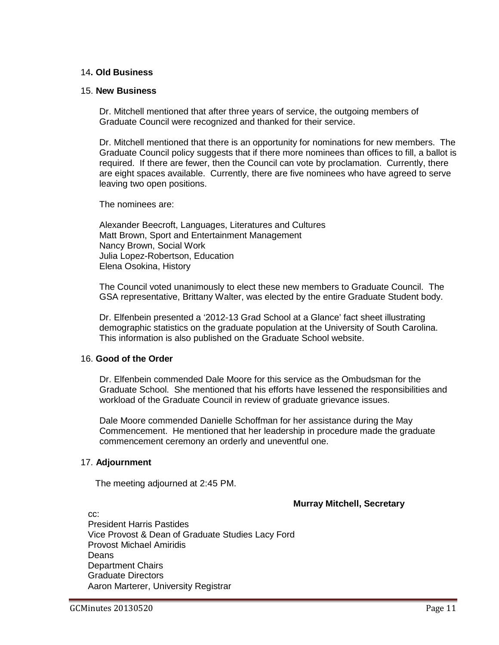## 14**. Old Business**

#### 15. **New Business**

Dr. Mitchell mentioned that after three years of service, the outgoing members of Graduate Council were recognized and thanked for their service.

Dr. Mitchell mentioned that there is an opportunity for nominations for new members. The Graduate Council policy suggests that if there more nominees than offices to fill, a ballot is required. If there are fewer, then the Council can vote by proclamation. Currently, there are eight spaces available. Currently, there are five nominees who have agreed to serve leaving two open positions.

The nominees are:

Alexander Beecroft, Languages, Literatures and Cultures Matt Brown, Sport and Entertainment Management Nancy Brown, Social Work Julia Lopez-Robertson, Education Elena Osokina, History

The Council voted unanimously to elect these new members to Graduate Council. The GSA representative, Brittany Walter, was elected by the entire Graduate Student body.

Dr. Elfenbein presented a '2012-13 Grad School at a Glance' fact sheet illustrating demographic statistics on the graduate population at the University of South Carolina. This information is also published on the Graduate School website.

### 16. **Good of the Order**

Dr. Elfenbein commended Dale Moore for this service as the Ombudsman for the Graduate School. She mentioned that his efforts have lessened the responsibilities and workload of the Graduate Council in review of graduate grievance issues.

Dale Moore commended Danielle Schoffman for her assistance during the May Commencement. He mentioned that her leadership in procedure made the graduate commencement ceremony an orderly and uneventful one.

### 17. **Adjournment**

The meeting adjourned at 2:45 PM.

### **Murray Mitchell, Secretary**

cc: President Harris Pastides Vice Provost & Dean of Graduate Studies Lacy Ford Provost Michael Amiridis Deans Department Chairs Graduate Directors Aaron Marterer, University Registrar